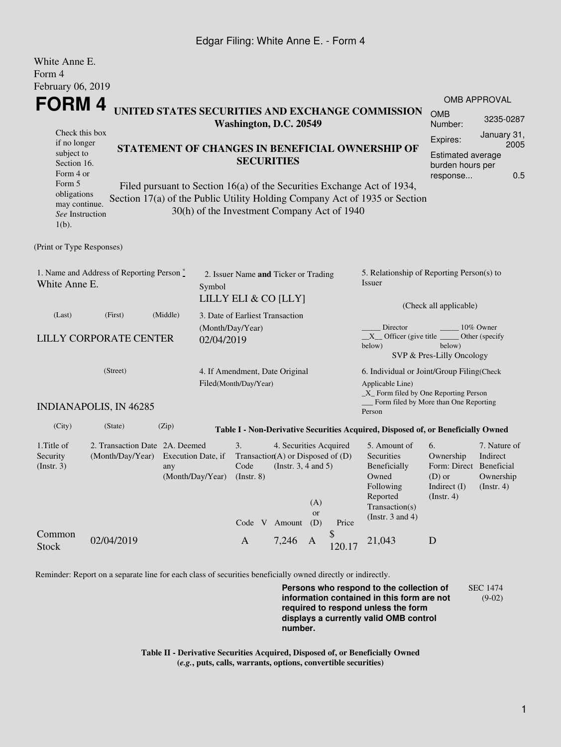## Edgar Filing: White Anne E. - Form 4

| White Anne E.                                                                                 |                                |                    |                                                         |                                                 |                          |                  |                                                               |                                                                                           |                                              |                          |  |
|-----------------------------------------------------------------------------------------------|--------------------------------|--------------------|---------------------------------------------------------|-------------------------------------------------|--------------------------|------------------|---------------------------------------------------------------|-------------------------------------------------------------------------------------------|----------------------------------------------|--------------------------|--|
| Form 4                                                                                        |                                |                    |                                                         |                                                 |                          |                  |                                                               |                                                                                           |                                              |                          |  |
| February 06, 2019                                                                             |                                |                    |                                                         |                                                 |                          |                  |                                                               |                                                                                           |                                              |                          |  |
| <b>FORM4</b>                                                                                  |                                |                    |                                                         |                                                 |                          |                  |                                                               |                                                                                           |                                              | <b>OMB APPROVAL</b>      |  |
|                                                                                               |                                |                    |                                                         | Washington, D.C. 20549                          |                          |                  |                                                               | UNITED STATES SECURITIES AND EXCHANGE COMMISSION                                          | <b>OMB</b><br>Number:                        | 3235-0287                |  |
| Check this box                                                                                |                                |                    |                                                         |                                                 |                          |                  |                                                               |                                                                                           | Expires:                                     | January 31,              |  |
| if no longer<br>subject to                                                                    |                                |                    |                                                         | STATEMENT OF CHANGES IN BENEFICIAL OWNERSHIP OF |                          |                  |                                                               |                                                                                           |                                              | 2005                     |  |
|                                                                                               | Section 16.                    |                    |                                                         |                                                 | <b>SECURITIES</b>        |                  |                                                               |                                                                                           | <b>Estimated average</b><br>burden hours per |                          |  |
| Form 4 or                                                                                     |                                |                    |                                                         |                                                 |                          |                  |                                                               |                                                                                           | response                                     | 0.5                      |  |
| Form 5<br>obligations                                                                         |                                |                    |                                                         |                                                 |                          |                  |                                                               | Filed pursuant to Section 16(a) of the Securities Exchange Act of 1934,                   |                                              |                          |  |
| may continue.                                                                                 |                                |                    |                                                         |                                                 |                          |                  |                                                               | Section 17(a) of the Public Utility Holding Company Act of 1935 or Section                |                                              |                          |  |
| See Instruction<br>$1(b)$ .                                                                   |                                |                    |                                                         | 30(h) of the Investment Company Act of 1940     |                          |                  |                                                               |                                                                                           |                                              |                          |  |
| (Print or Type Responses)                                                                     |                                |                    |                                                         |                                                 |                          |                  |                                                               |                                                                                           |                                              |                          |  |
| 1. Name and Address of Reporting Person $\stackrel{*}{\mathbb{L}}$<br>White Anne E.<br>Symbol |                                |                    |                                                         | 2. Issuer Name and Ticker or Trading            |                          |                  |                                                               | 5. Relationship of Reporting Person(s) to<br><b>Issuer</b>                                |                                              |                          |  |
|                                                                                               |                                |                    | LILLY ELI & CO [LLY]                                    |                                                 |                          |                  |                                                               | (Check all applicable)                                                                    |                                              |                          |  |
| (Last)                                                                                        | (First)                        | (Middle)           |                                                         | 3. Date of Earliest Transaction                 |                          |                  |                                                               |                                                                                           |                                              |                          |  |
|                                                                                               |                                |                    |                                                         | (Month/Day/Year)                                |                          |                  |                                                               | Director                                                                                  | 10% Owner                                    |                          |  |
|                                                                                               | <b>LILLY CORPORATE CENTER</b>  |                    | 02/04/2019                                              |                                                 |                          |                  |                                                               | $X$ Officer (give title $\overline{\phantom{a}}$<br>below)                                | below)<br>SVP & Pres-Lilly Oncology          | Other (specify           |  |
|                                                                                               | (Street)                       |                    |                                                         |                                                 |                          |                  |                                                               |                                                                                           |                                              |                          |  |
|                                                                                               |                                |                    | 4. If Amendment, Date Original<br>Filed(Month/Day/Year) |                                                 |                          |                  | 6. Individual or Joint/Group Filing(Check<br>Applicable Line) |                                                                                           |                                              |                          |  |
|                                                                                               | <b>INDIANAPOLIS, IN 46285</b>  |                    |                                                         |                                                 |                          |                  |                                                               | _X_ Form filed by One Reporting Person<br>Form filed by More than One Reporting<br>Person |                                              |                          |  |
| (City)                                                                                        | (State)                        | (Zip)              |                                                         |                                                 |                          |                  |                                                               | Table I - Non-Derivative Securities Acquired, Disposed of, or Beneficially Owned          |                                              |                          |  |
| 1.Title of                                                                                    | 2. Transaction Date 2A. Deemed |                    |                                                         | 3.                                              | 4. Securities Acquired   |                  |                                                               | 5. Amount of                                                                              | 6.                                           | 7. Nature of             |  |
| Security                                                                                      | (Month/Day/Year)               | Execution Date, if |                                                         | Transaction(A) or Disposed of $(D)$             |                          |                  |                                                               | Securities                                                                                | Ownership                                    | Indirect                 |  |
| (Insert. 3)                                                                                   |                                | any                |                                                         |                                                 | (Instr. $3, 4$ and $5$ ) |                  |                                                               | Beneficially                                                                              | Form: Direct Beneficial                      |                          |  |
|                                                                                               |                                |                    | (Month/Day/Year)                                        | $($ Instr. $8)$                                 |                          |                  |                                                               | Owned<br>$(D)$ or<br>Following<br>Indirect (I)                                            |                                              | Ownership<br>(Insert. 4) |  |
|                                                                                               |                                |                    |                                                         |                                                 |                          |                  |                                                               | Reported                                                                                  | (Insert. 4)                                  |                          |  |
|                                                                                               |                                |                    |                                                         |                                                 |                          | (A)<br><b>or</b> |                                                               | Transaction(s)                                                                            |                                              |                          |  |
|                                                                                               |                                |                    |                                                         | Code V                                          | Amount                   | (D)              | Price                                                         | (Instr. $3$ and $4$ )                                                                     |                                              |                          |  |
| Common<br><b>Stock</b>                                                                        | 02/04/2019                     |                    |                                                         | $\mathbf{A}$                                    | 7,246                    | $\mathbf{A}$     | \$<br>120.17                                                  | 21,043                                                                                    | D                                            |                          |  |

Reminder: Report on a separate line for each class of securities beneficially owned directly or indirectly.

**Persons who respond to the collection of information contained in this form are not required to respond unless the form displays a currently valid OMB control number.** SEC 1474 (9-02)

**Table II - Derivative Securities Acquired, Disposed of, or Beneficially Owned (***e.g.***, puts, calls, warrants, options, convertible securities)**